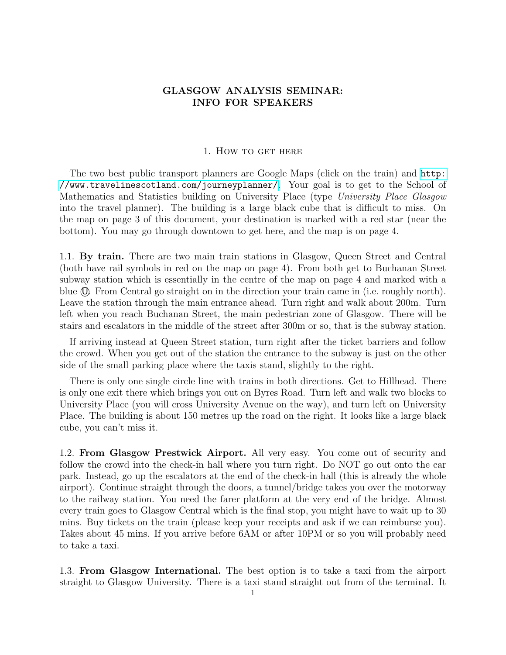## GLASGOW ANALYSIS SEMINAR: INFO FOR SPEAKERS

## 1. How to get here

The two best public transport planners are Google Maps (click on the train) and [http:](http://www.travelinescotland.com/journeyplanner/) [//www.travelinescotland.com/journeyplanner/](http://www.travelinescotland.com/journeyplanner/). Your goal is to get to the School of Mathematics and Statistics building on University Place (type University Place Glasgow into the travel planner). The building is a large black cube that is difficult to miss. On the map on page 3 of this document, your destination is marked with a red star (near the bottom). You may go through downtown to get here, and the map is on page 4.

1.1. By train. There are two main train stations in Glasgow, Queen Street and Central (both have rail symbols in red on the map on page 4). From both get to Buchanan Street subway station which is essentially in the centre of the map on page 4 and marked with a blue  $\mathbb{O}$ . From Central go straight on in the direction your train came in (i.e. roughly north). Leave the station through the main entrance ahead. Turn right and walk about 200m. Turn left when you reach Buchanan Street, the main pedestrian zone of Glasgow. There will be stairs and escalators in the middle of the street after 300m or so, that is the subway station.

If arriving instead at Queen Street station, turn right after the ticket barriers and follow the crowd. When you get out of the station the entrance to the subway is just on the other side of the small parking place where the taxis stand, slightly to the right.

There is only one single circle line with trains in both directions. Get to Hillhead. There is only one exit there which brings you out on Byres Road. Turn left and walk two blocks to University Place (you will cross University Avenue on the way), and turn left on University Place. The building is about 150 metres up the road on the right. It looks like a large black cube, you can't miss it.

1.2. From Glasgow Prestwick Airport. All very easy. You come out of security and follow the crowd into the check-in hall where you turn right. Do NOT go out onto the car park. Instead, go up the escalators at the end of the check-in hall (this is already the whole airport). Continue straight through the doors, a tunnel/bridge takes you over the motorway to the railway station. You need the farer platform at the very end of the bridge. Almost every train goes to Glasgow Central which is the final stop, you might have to wait up to 30 mins. Buy tickets on the train (please keep your receipts and ask if we can reimburse you). Takes about 45 mins. If you arrive before 6AM or after 10PM or so you will probably need to take a taxi.

1.3. From Glasgow International. The best option is to take a taxi from the airport straight to Glasgow University. There is a taxi stand straight out from of the terminal. It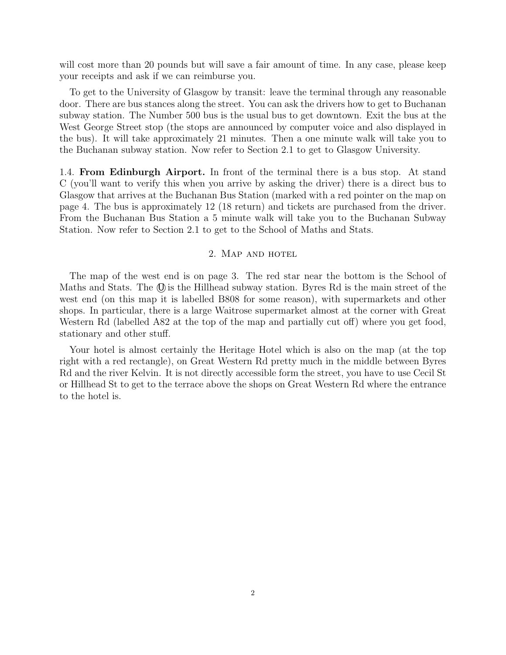will cost more than 20 pounds but will save a fair amount of time. In any case, please keep your receipts and ask if we can reimburse you.

To get to the University of Glasgow by transit: leave the terminal through any reasonable door. There are bus stances along the street. You can ask the drivers how to get to Buchanan subway station. The Number 500 bus is the usual bus to get downtown. Exit the bus at the West George Street stop (the stops are announced by computer voice and also displayed in the bus). It will take approximately 21 minutes. Then a one minute walk will take you to the Buchanan subway station. Now refer to Section 2.1 to get to Glasgow University.

1.4. From Edinburgh Airport. In front of the terminal there is a bus stop. At stand C (you'll want to verify this when you arrive by asking the driver) there is a direct bus to Glasgow that arrives at the Buchanan Bus Station (marked with a red pointer on the map on page 4. The bus is approximately 12 (18 return) and tickets are purchased from the driver. From the Buchanan Bus Station a 5 minute walk will take you to the Buchanan Subway Station. Now refer to Section 2.1 to get to the School of Maths and Stats.

## 2. Map and hotel

The map of the west end is on page 3. The red star near the bottom is the School of Maths and Stats. The  $\mathbb{O}$  is the Hillhead subway station. Byres Rd is the main street of the west end (on this map it is labelled B808 for some reason), with supermarkets and other shops. In particular, there is a large Waitrose supermarket almost at the corner with Great Western Rd (labelled A82 at the top of the map and partially cut off) where you get food, stationary and other stuff.

Your hotel is almost certainly the Heritage Hotel which is also on the map (at the top right with a red rectangle), on Great Western Rd pretty much in the middle between Byres Rd and the river Kelvin. It is not directly accessible form the street, you have to use Cecil St or Hillhead St to get to the terrace above the shops on Great Western Rd where the entrance to the hotel is.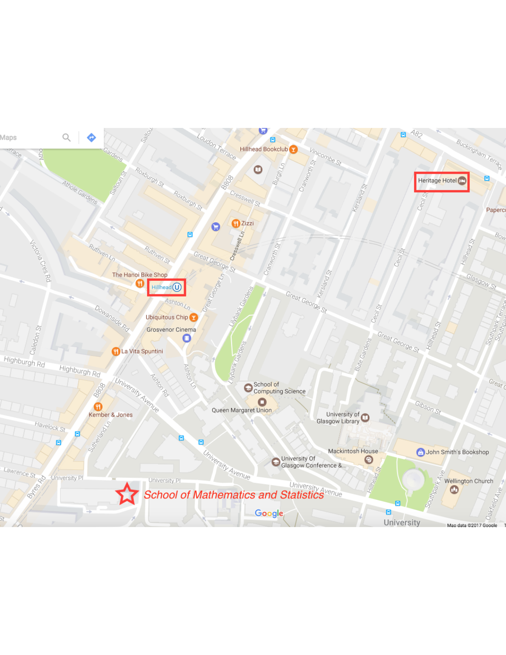